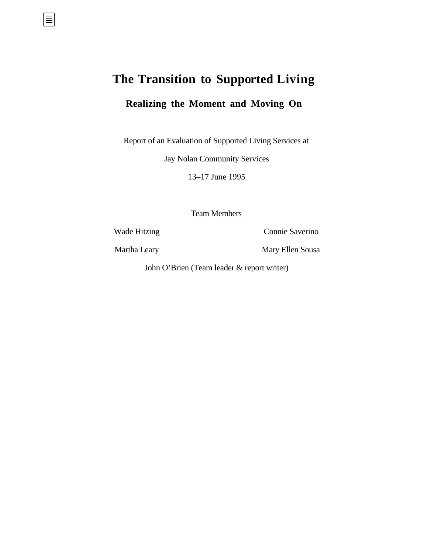# **The Transition to Supported Living**

# **Realizing the Moment and Moving On**

Report of an Evaluation of Supported Living Services at

Jay Nolan Community Services

13–17 June 1995

Team Members

 $\equiv$ 

Wade Hitzing Connie Saverino

Martha Leary Mary Ellen Sousa

John O'Brien (Team leader & report writer)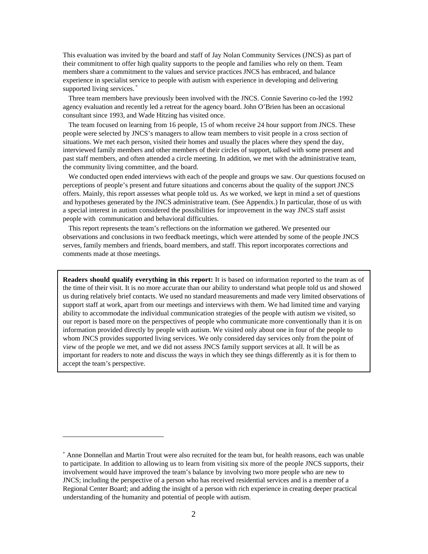This evaluation was invited by the board and staff of Jay Nolan Community Services (JNCS) as part of their commitment to offer high quality supports to the people and families who rely on them. Team members share a commitment to the values and service practices JNCS has embraced, and balance experience in specialist service to people with autism with experience in developing and delivering supported living services. \*

Three team members have previously been involved with the JNCS. Connie Saverino co-led the 1992 agency evaluation and recently led a retreat for the agency board. John O'Brien has been an occasional consultant since 1993, and Wade Hitzing has visited once.

The team focused on learning from 16 people, 15 of whom receive 24 hour support from JNCS. These people were selected by JNCS's managers to allow team members to visit people in a cross section of situations. We met each person, visited their homes and usually the places where they spend the day, interviewed family members and other members of their circles of support, talked with some present and past staff members, and often attended a circle meeting. In addition, we met with the administrative team, the community living committee, and the board.

We conducted open ended interviews with each of the people and groups we saw. Our questions focused on perceptions of people's present and future situations and concerns about the quality of the support JNCS offers. Mainly, this report assesses what people told us. As we worked, we kept in mind a set of questions and hypotheses generated by the JNCS administrative team. (See Appendix.) In particular, those of us with a special interest in autism considered the possibilities for improvement in the way JNCS staff assist people with communication and behavioral difficulties.

This report represents the team's reflections on the information we gathered. We presented our observations and conclusions in two feedback meetings, which were attended by some of the people JNCS serves, family members and friends, board members, and staff. This report incorporates corrections and comments made at those meetings.

**Readers should qualify everything in this report:** It is based on information reported to the team as of the time of their visit. It is no more accurate than our ability to understand what people told us and showed us during relatively brief contacts. We used no standard measurements and made very limited observations of support staff at work, apart from our meetings and interviews with them. We had limited time and varying ability to accommodate the individual communication strategies of the people with autism we visited, so our report is based more on the perspectives of people who communicate more conventionally than it is on information provided directly by people with autism. We visited only about one in four of the people to whom JNCS provides supported living services. We only considered day services only from the point of view of the people we met, and we did not assess JNCS family support services at all. It will be as important for readers to note and discuss the ways in which they see things differently as it is for them to accept the team's perspective.

 $\overline{a}$ 

<sup>\*</sup> Anne Donnellan and Martin Trout were also recruited for the team but, for health reasons, each was unable to participate. In addition to allowing us to learn from visiting six more of the people JNCS supports, their involvement would have improved the team's balance by involving two more people who are new to JNCS; including the perspective of a person who has received residential services and is a member of a Regional Center Board; and adding the insight of a person with rich experience in creating deeper practical understanding of the humanity and potential of people with autism.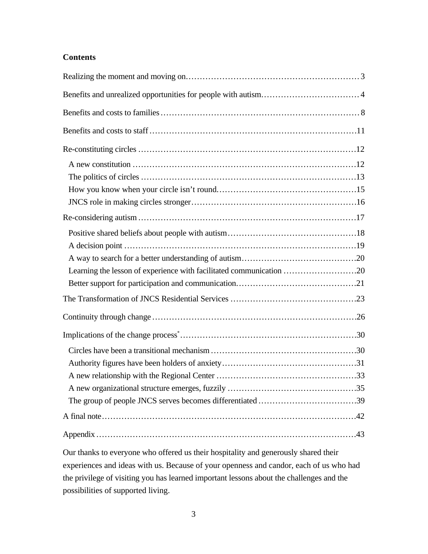# **Contents**

| Learning the lesson of experience with facilitated communication 20 |  |
|---------------------------------------------------------------------|--|
|                                                                     |  |
|                                                                     |  |
|                                                                     |  |
|                                                                     |  |
|                                                                     |  |
|                                                                     |  |
|                                                                     |  |
|                                                                     |  |
|                                                                     |  |
|                                                                     |  |
|                                                                     |  |

Our thanks to everyone who offered us their hospitality and generously shared their experiences and ideas with us. Because of your openness and candor, each of us who had the privilege of visiting you has learned important lessons about the challenges and the possibilities of supported living.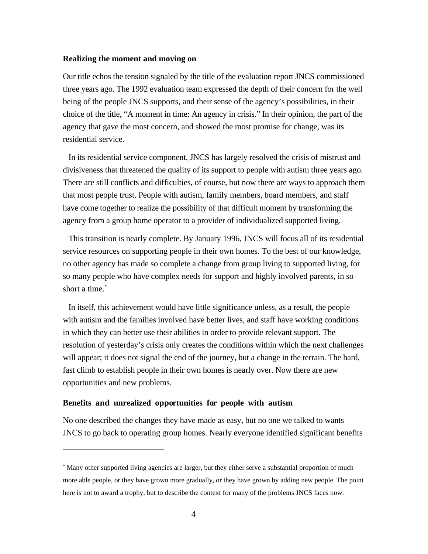#### **Realizing the moment and moving on**

Our title echos the tension signaled by the title of the evaluation report JNCS commissioned three years ago. The 1992 evaluation team expressed the depth of their concern for the well being of the people JNCS supports, and their sense of the agency's possibilities, in their choice of the title, "A moment in time: An agency in crisis." In their opinion, the part of the agency that gave the most concern, and showed the most promise for change, was its residential service.

In its residential service component, JNCS has largely resolved the crisis of mistrust and divisiveness that threatened the quality of its support to people with autism three years ago. There are still conflicts and difficulties, of course, but now there are ways to approach them that most people trust. People with autism, family members, board members, and staff have come together to realize the possibility of that difficult moment by transforming the agency from a group home operator to a provider of individualized supported living.

This transition is nearly complete. By January 1996, JNCS will focus all of its residential service resources on supporting people in their own homes. To the best of our knowledge, no other agency has made so complete a change from group living to supported living, for so many people who have complex needs for support and highly involved parents, in so short a time.\*

In itself, this achievement would have little significance unless, as a result, the people with autism and the families involved have better lives, and staff have working conditions in which they can better use their abilities in order to provide relevant support. The resolution of yesterday's crisis only creates the conditions within which the next challenges will appear; it does not signal the end of the journey, but a change in the terrain. The hard, fast climb to establish people in their own homes is nearly over. Now there are new opportunities and new problems.

#### **Benefits and unrealized opportunities for people with autism**

<u>.</u>

No one described the changes they have made as easy, but no one we talked to wants JNCS to go back to operating group homes. Nearly everyone identified significant benefits

<sup>\*</sup> Many other supported living agencies are larger, but they either serve a substantial proportion of much more able people, or they have grown more gradually, or they have grown by adding new people. The point here is not to award a trophy, but to describe the context for many of the problems JNCS faces now.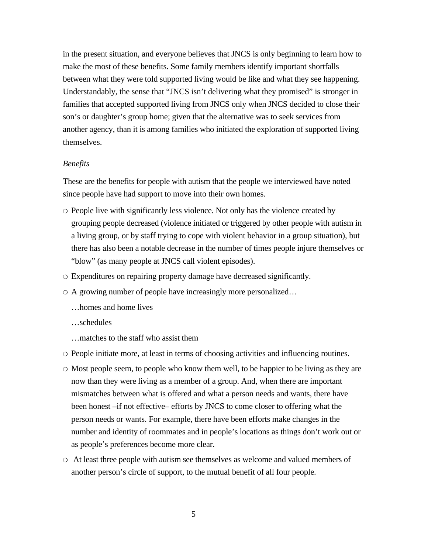in the present situation, and everyone believes that JNCS is only beginning to learn how to make the most of these benefits. Some family members identify important shortfalls between what they were told supported living would be like and what they see happening. Understandably, the sense that "JNCS isn't delivering what they promised" is stronger in families that accepted supported living from JNCS only when JNCS decided to close their son's or daughter's group home; given that the alternative was to seek services from another agency, than it is among families who initiated the exploration of supported living themselves.

## *Benefits*

These are the benefits for people with autism that the people we interviewed have noted since people have had support to move into their own homes.

- ❍ People live with significantly less violence. Not only has the violence created by grouping people decreased (violence initiated or triggered by other people with autism in a living group, or by staff trying to cope with violent behavior in a group situation), but there has also been a notable decrease in the number of times people injure themselves or "blow" (as many people at JNCS call violent episodes).
- ❍ Expenditures on repairing property damage have decreased significantly.
- ❍ A growing number of people have increasingly more personalized…
	- …homes and home lives
	- …schedules
	- …matches to the staff who assist them
- ❍ People initiate more, at least in terms of choosing activities and influencing routines.
- ❍ Most people seem, to people who know them well, to be happier to be living as they are now than they were living as a member of a group. And, when there are important mismatches between what is offered and what a person needs and wants, there have been honest –if not effective– efforts by JNCS to come closer to offering what the person needs or wants. For example, there have been efforts make changes in the number and identity of roommates and in people's locations as things don't work out or as people's preferences become more clear.
- ❍ At least three people with autism see themselves as welcome and valued members of another person's circle of support, to the mutual benefit of all four people.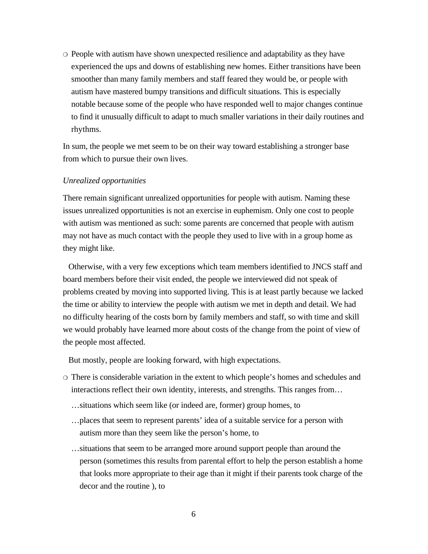❍ People with autism have shown unexpected resilience and adaptability as they have experienced the ups and downs of establishing new homes. Either transitions have been smoother than many family members and staff feared they would be, or people with autism have mastered bumpy transitions and difficult situations. This is especially notable because some of the people who have responded well to major changes continue to find it unusually difficult to adapt to much smaller variations in their daily routines and rhythms.

In sum, the people we met seem to be on their way toward establishing a stronger base from which to pursue their own lives.

## *Unrealized opportunities*

There remain significant unrealized opportunities for people with autism. Naming these issues unrealized opportunities is not an exercise in euphemism. Only one cost to people with autism was mentioned as such: some parents are concerned that people with autism may not have as much contact with the people they used to live with in a group home as they might like.

Otherwise, with a very few exceptions which team members identified to JNCS staff and board members before their visit ended, the people we interviewed did not speak of problems created by moving into supported living. This is at least partly because we lacked the time or ability to interview the people with autism we met in depth and detail. We had no difficulty hearing of the costs born by family members and staff, so with time and skill we would probably have learned more about costs of the change from the point of view of the people most affected.

But mostly, people are looking forward, with high expectations.

- ❍ There is considerable variation in the extent to which people's homes and schedules and interactions reflect their own identity, interests, and strengths. This ranges from…
	- …situations which seem like (or indeed are, former) group homes, to
	- …places that seem to represent parents' idea of a suitable service for a person with autism more than they seem like the person's home, to
	- …situations that seem to be arranged more around support people than around the person (sometimes this results from parental effort to help the person establish a home that looks more appropriate to their age than it might if their parents took charge of the decor and the routine ), to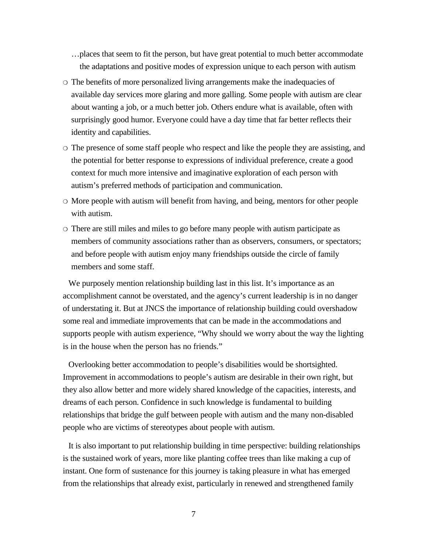…places that seem to fit the person, but have great potential to much better accommodate the adaptations and positive modes of expression unique to each person with autism

- ❍ The benefits of more personalized living arrangements make the inadequacies of available day services more glaring and more galling. Some people with autism are clear about wanting a job, or a much better job. Others endure what is available, often with surprisingly good humor. Everyone could have a day time that far better reflects their identity and capabilities.
- ❍ The presence of some staff people who respect and like the people they are assisting, and the potential for better response to expressions of individual preference, create a good context for much more intensive and imaginative exploration of each person with autism's preferred methods of participation and communication.
- ❍ More people with autism will benefit from having, and being, mentors for other people with autism.
- ❍ There are still miles and miles to go before many people with autism participate as members of community associations rather than as observers, consumers, or spectators; and before people with autism enjoy many friendships outside the circle of family members and some staff.

We purposely mention relationship building last in this list. It's importance as an accomplishment cannot be overstated, and the agency's current leadership is in no danger of understating it. But at JNCS the importance of relationship building could overshadow some real and immediate improvements that can be made in the accommodations and supports people with autism experience, "Why should we worry about the way the lighting is in the house when the person has no friends."

Overlooking better accommodation to people's disabilities would be shortsighted. Improvement in accommodations to people's autism are desirable in their own right, but they also allow better and more widely shared knowledge of the capacities, interests, and dreams of each person. Confidence in such knowledge is fundamental to building relationships that bridge the gulf between people with autism and the many non-disabled people who are victims of stereotypes about people with autism.

It is also important to put relationship building in time perspective: building relationships is the sustained work of years, more like planting coffee trees than like making a cup of instant. One form of sustenance for this journey is taking pleasure in what has emerged from the relationships that already exist, particularly in renewed and strengthened family

7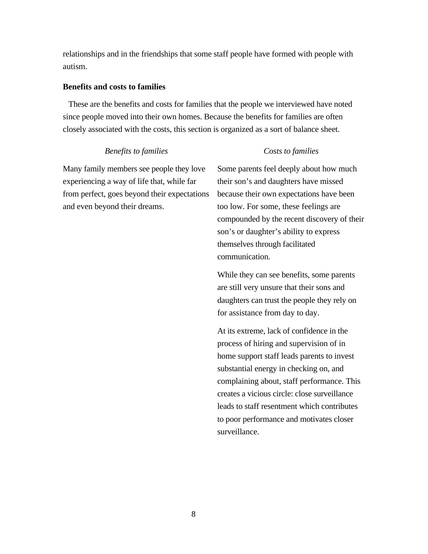relationships and in the friendships that some staff people have formed with people with autism.

#### **Benefits and costs to families**

These are the benefits and costs for families that the people we interviewed have noted since people moved into their own homes. Because the benefits for families are often closely associated with the costs, this section is organized as a sort of balance sheet.

# *Benefits to families Costs to families*

Many family members see people they love experiencing a way of life that, while far from perfect, goes beyond their expectations and even beyond their dreams.

Some parents feel deeply about how much their son's and daughters have missed because their own expectations have been too low. For some, these feelings are compounded by the recent discovery of their son's or daughter's ability to express themselves through facilitated communication.

While they can see benefits, some parents are still very unsure that their sons and daughters can trust the people they rely on for assistance from day to day.

At its extreme, lack of confidence in the process of hiring and supervision of in home support staff leads parents to invest substantial energy in checking on, and complaining about, staff performance. This creates a vicious circle: close surveillance leads to staff resentment which contributes to poor performance and motivates closer surveillance.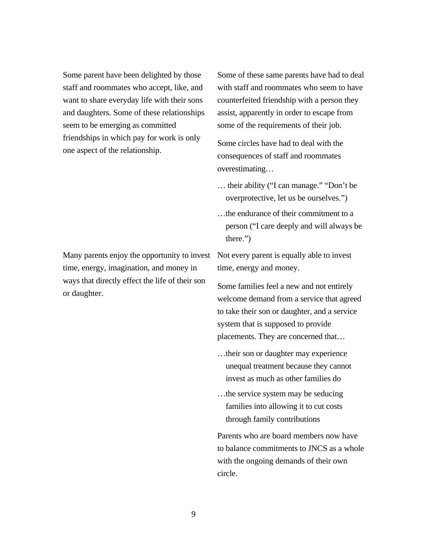Some parent have been delighted by those staff and roommates who accept, like, and want to share everyday life with their sons and daughters. Some of these relationships seem to be emerging as committed friendships in which pay for work is only one aspect of the relationship.

Many parents enjoy the opportunity to invest time, energy, imagination, and money in ways that directly effect the life of their son or daughter.

Some of these same parents have had to deal with staff and roommates who seem to have counterfeited friendship with a person they assist, apparently in order to escape from some of the requirements of their job.

Some circles have had to deal with the consequences of staff and roommates overestimating…

- … their ability ("I can manage." "Don't be overprotective, let us be ourselves.")
- …the endurance of their commitment to a person ("I care deeply and will always be there.")

Not every parent is equally able to invest time, energy and money.

Some families feel a new and not entirely welcome demand from a service that agreed to take their son or daughter, and a service system that is supposed to provide placements. They are concerned that…

- …their son or daughter may experience unequal treatment because they cannot invest as much as other families do
- …the service system may be seducing families into allowing it to cut costs through family contributions

Parents who are board members now have to balance commitments to JNCS as a whole with the ongoing demands of their own circle.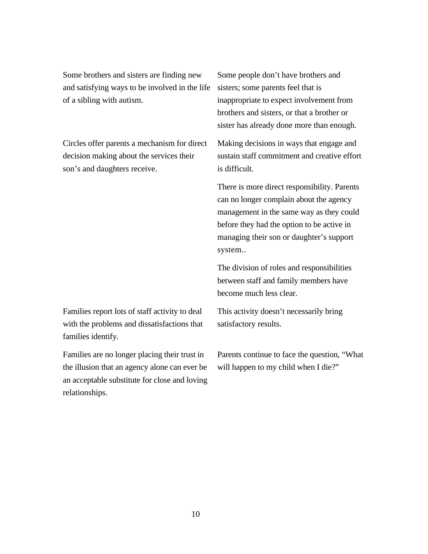Some brothers and sisters are finding new and satisfying ways to be involved in the life of a sibling with autism.

Circles offer parents a mechanism for direct decision making about the services their son's and daughters receive.

Families report lots of staff activity to deal with the problems and dissatisfactions that families identify.

Families are no longer placing their trust in the illusion that an agency alone can ever be an acceptable substitute for close and loving relationships.

Some people don't have brothers and sisters; some parents feel that is inappropriate to expect involvement from brothers and sisters, or that a brother or sister has already done more than enough.

Making decisions in ways that engage and sustain staff commitment and creative effort is difficult.

There is more direct responsibility. Parents can no longer complain about the agency management in the same way as they could before they had the option to be active in managing their son or daughter's support system..

The division of roles and responsibilities between staff and family members have become much less clear.

This activity doesn't necessarily bring satisfactory results.

Parents continue to face the question, "What will happen to my child when I die?"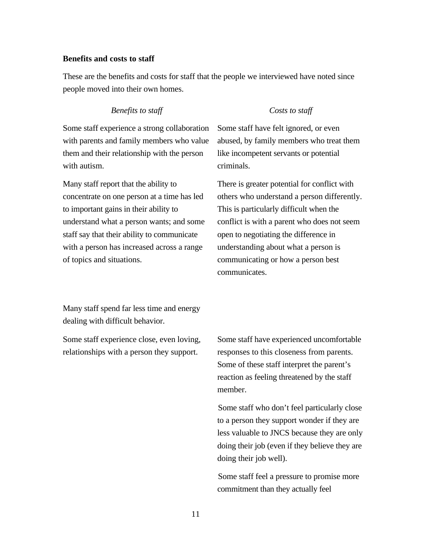#### **Benefits and costs to staff**

These are the benefits and costs for staff that the people we interviewed have noted since people moved into their own homes.

#### *Benefits to staff Costs to staff*

Some staff experience a strong collaboration with parents and family members who value them and their relationship with the person with autism.

Many staff report that the ability to concentrate on one person at a time has led to important gains in their ability to understand what a person wants; and some staff say that their ability to communicate with a person has increased across a range of topics and situations.

Some staff have felt ignored, or even abused, by family members who treat them like incompetent servants or potential criminals.

There is greater potential for conflict with others who understand a person differently. This is particularly difficult when the conflict is with a parent who does not seem open to negotiating the difference in understanding about what a person is communicating or how a person best communicates.

Many staff spend far less time and energy dealing with difficult behavior.

Some staff experience close, even loving, relationships with a person they support.

Some staff have experienced uncomfortable responses to this closeness from parents. Some of these staff interpret the parent's reaction as feeling threatened by the staff member.

Some staff who don't feel particularly close to a person they support wonder if they are less valuable to JNCS because they are only doing their job (even if they believe they are doing their job well).

Some staff feel a pressure to promise more commitment than they actually feel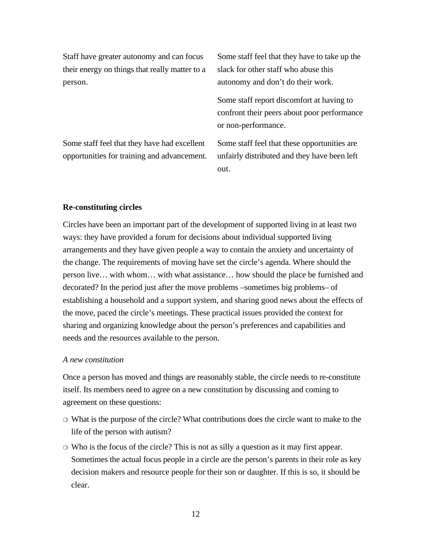Staff have greater autonomy and can focus their energy on things that really matter to a person.

Some staff feel that they have to take up the slack for other staff who abuse this autonomy and don't do their work.

Some staff report discomfort at having to confront their peers about poor performance or non-performance.

Some staff feel that they have had excellent opportunities for training and advancement.

Some staff feel that these opportunities are unfairly distributed and they have been left out.

## **Re-constituting circles**

Circles have been an important part of the development of supported living in at least two ways: they have provided a forum for decisions about individual supported living arrangements and they have given people a way to contain the anxiety and uncertainty of the change. The requirements of moving have set the circle's agenda. Where should the person live… with whom… with what assistance… how should the place be furnished and decorated? In the period just after the move problems –sometimes big problems– of establishing a household and a support system, and sharing good news about the effects of the move, paced the circle's meetings. These practical issues provided the context for sharing and organizing knowledge about the person's preferences and capabilities and needs and the resources available to the person.

#### *A new constitution*

Once a person has moved and things are reasonably stable, the circle needs to re-constitute itself. Its members need to agree on a new constitution by discussing and coming to agreement on these questions:

- ❍ What is the purpose of the circle? What contributions does the circle want to make to the life of the person with autism?
- ❍ Who is the focus of the circle? This is not as silly a question as it may first appear. Sometimes the actual focus people in a circle are the person's parents in their role as key decision makers and resource people for their son or daughter. If this is so, it should be clear.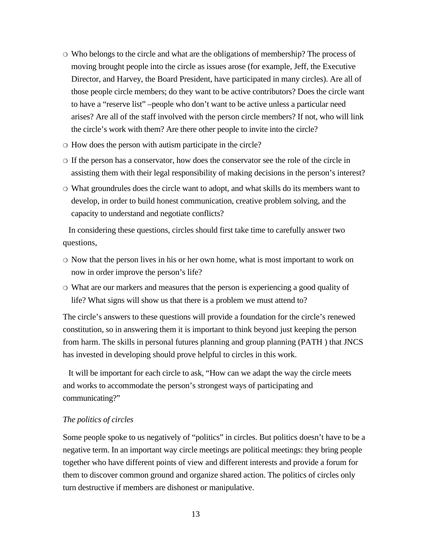- ❍ Who belongs to the circle and what are the obligations of membership? The process of moving brought people into the circle as issues arose (for example, Jeff, the Executive Director, and Harvey, the Board President, have participated in many circles). Are all of those people circle members; do they want to be active contributors? Does the circle want to have a "reserve list" –people who don't want to be active unless a particular need arises? Are all of the staff involved with the person circle members? If not, who will link the circle's work with them? Are there other people to invite into the circle?
- ❍ How does the person with autism participate in the circle?
- ❍ If the person has a conservator, how does the conservator see the role of the circle in assisting them with their legal responsibility of making decisions in the person's interest?
- ❍ What groundrules does the circle want to adopt, and what skills do its members want to develop, in order to build honest communication, creative problem solving, and the capacity to understand and negotiate conflicts?

In considering these questions, circles should first take time to carefully answer two questions,

- ❍ Now that the person lives in his or her own home, what is most important to work on now in order improve the person's life?
- ❍ What are our markers and measures that the person is experiencing a good quality of life? What signs will show us that there is a problem we must attend to?

The circle's answers to these questions will provide a foundation for the circle's renewed constitution, so in answering them it is important to think beyond just keeping the person from harm. The skills in personal futures planning and group planning (PATH ) that JNCS has invested in developing should prove helpful to circles in this work.

It will be important for each circle to ask, "How can we adapt the way the circle meets and works to accommodate the person's strongest ways of participating and communicating?"

# *The politics of circles*

Some people spoke to us negatively of "politics" in circles. But politics doesn't have to be a negative term. In an important way circle meetings are political meetings: they bring people together who have different points of view and different interests and provide a forum for them to discover common ground and organize shared action. The politics of circles only turn destructive if members are dishonest or manipulative.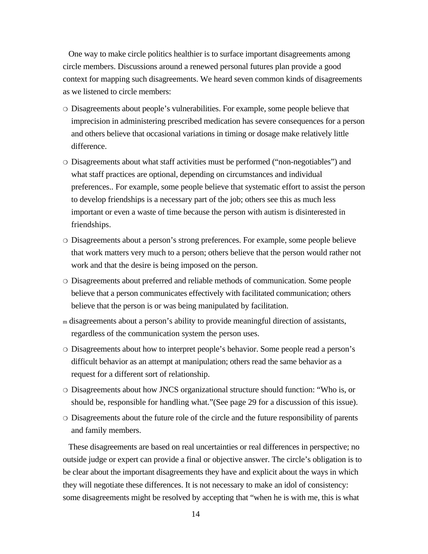One way to make circle politics healthier is to surface important disagreements among circle members. Discussions around a renewed personal futures plan provide a good context for mapping such disagreements. We heard seven common kinds of disagreements as we listened to circle members:

- ❍ Disagreements about people's vulnerabilities. For example, some people believe that imprecision in administering prescribed medication has severe consequences for a person and others believe that occasional variations in timing or dosage make relatively little difference.
- ❍ Disagreements about what staff activities must be performed ("non-negotiables") and what staff practices are optional, depending on circumstances and individual preferences.. For example, some people believe that systematic effort to assist the person to develop friendships is a necessary part of the job; others see this as much less important or even a waste of time because the person with autism is disinterested in friendships.
- ❍ Disagreements about a person's strong preferences. For example, some people believe that work matters very much to a person; others believe that the person would rather not work and that the desire is being imposed on the person.
- ❍ Disagreements about preferred and reliable methods of communication. Some people believe that a person communicates effectively with facilitated communication; others believe that the person is or was being manipulated by facilitation.
- m disagreements about a person's ability to provide meaningful direction of assistants, regardless of the communication system the person uses.
- ❍ Disagreements about how to interpret people's behavior. Some people read a person's difficult behavior as an attempt at manipulation; others read the same behavior as a request for a different sort of relationship.
- ❍ Disagreements about how JNCS organizational structure should function: "Who is, or should be, responsible for handling what."(See page 29 for a discussion of this issue).
- ❍ Disagreements about the future role of the circle and the future responsibility of parents and family members.

These disagreements are based on real uncertainties or real differences in perspective; no outside judge or expert can provide a final or objective answer. The circle's obligation is to be clear about the important disagreements they have and explicit about the ways in which they will negotiate these differences. It is not necessary to make an idol of consistency: some disagreements might be resolved by accepting that "when he is with me, this is what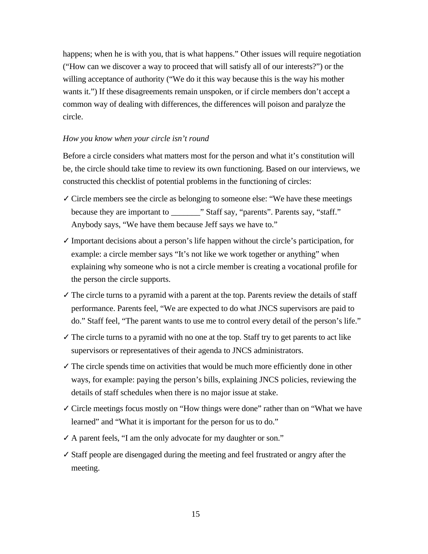happens; when he is with you, that is what happens." Other issues will require negotiation ("How can we discover a way to proceed that will satisfy all of our interests?") or the willing acceptance of authority ("We do it this way because this is the way his mother wants it.") If these disagreements remain unspoken, or if circle members don't accept a common way of dealing with differences, the differences will poison and paralyze the circle.

## *How you know when your circle isn't round*

Before a circle considers what matters most for the person and what it's constitution will be, the circle should take time to review its own functioning. Based on our interviews, we constructed this checklist of potential problems in the functioning of circles:

- $\checkmark$  Circle members see the circle as belonging to someone else: "We have these meetings because they are important to  $\blacksquare$  "Staff say, "parents". Parents say, "staff." Anybody says, "We have them because Jeff says we have to."
- $\checkmark$  Important decisions about a person's life happen without the circle's participation, for example: a circle member says "It's not like we work together or anything" when explaining why someone who is not a circle member is creating a vocational profile for the person the circle supports.
- $\checkmark$  The circle turns to a pyramid with a parent at the top. Parents review the details of staff performance. Parents feel, "We are expected to do what JNCS supervisors are paid to do." Staff feel, "The parent wants to use me to control every detail of the person's life."
- $\checkmark$  The circle turns to a pyramid with no one at the top. Staff try to get parents to act like supervisors or representatives of their agenda to JNCS administrators.
- $\checkmark$  The circle spends time on activities that would be much more efficiently done in other ways, for example: paying the person's bills, explaining JNCS policies, reviewing the details of staff schedules when there is no major issue at stake.
- ✓ Circle meetings focus mostly on "How things were done" rather than on "What we have learned" and "What it is important for the person for us to do."
- ✓ A parent feels, "I am the only advocate for my daughter or son."
- ✓ Staff people are disengaged during the meeting and feel frustrated or angry after the meeting.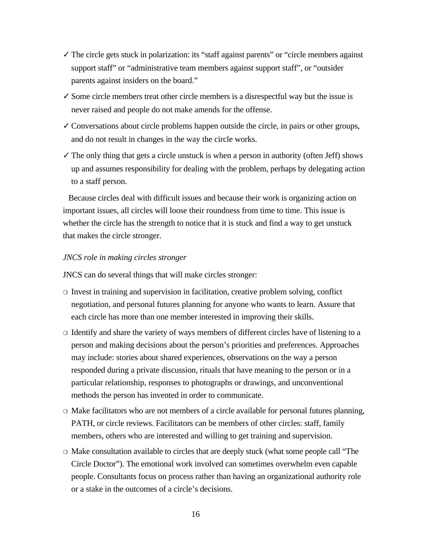- $\checkmark$  The circle gets stuck in polarization: its "staff against parents" or "circle members against support staff" or "administrative team members against support staff", or "outsider parents against insiders on the board."
- $\checkmark$  Some circle members treat other circle members is a disrespectful way but the issue is never raised and people do not make amends for the offense.
- $\checkmark$  Conversations about circle problems happen outside the circle, in pairs or other groups, and do not result in changes in the way the circle works.
- $\checkmark$  The only thing that gets a circle unstuck is when a person in authority (often Jeff) shows up and assumes responsibility for dealing with the problem, perhaps by delegating action to a staff person.

Because circles deal with difficult issues and because their work is organizing action on important issues, all circles will loose their roundness from time to time. This issue is whether the circle has the strength to notice that it is stuck and find a way to get unstuck that makes the circle stronger.

# *JNCS role in making circles stronger*

JNCS can do several things that will make circles stronger:

- ❍ Invest in training and supervision in facilitation, creative problem solving, conflict negotiation, and personal futures planning for anyone who wants to learn. Assure that each circle has more than one member interested in improving their skills.
- ❍ Identify and share the variety of ways members of different circles have of listening to a person and making decisions about the person's priorities and preferences. Approaches may include: stories about shared experiences, observations on the way a person responded during a private discussion, rituals that have meaning to the person or in a particular relationship, responses to photographs or drawings, and unconventional methods the person has invented in order to communicate.
- ❍ Make facilitators who are not members of a circle available for personal futures planning, PATH, or circle reviews. Facilitators can be members of other circles: staff, family members, others who are interested and willing to get training and supervision.
- ❍ Make consultation available to circles that are deeply stuck (what some people call "The Circle Doctor"). The emotional work involved can sometimes overwhelm even capable people. Consultants focus on process rather than having an organizational authority role or a stake in the outcomes of a circle's decisions.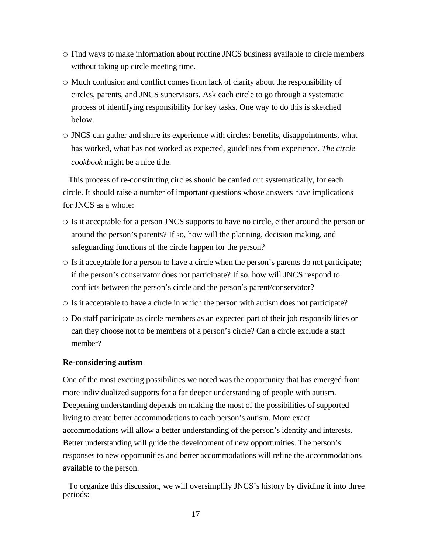- ❍ Find ways to make information about routine JNCS business available to circle members without taking up circle meeting time.
- ❍ Much confusion and conflict comes from lack of clarity about the responsibility of circles, parents, and JNCS supervisors. Ask each circle to go through a systematic process of identifying responsibility for key tasks. One way to do this is sketched below.
- ❍ JNCS can gather and share its experience with circles: benefits, disappointments, what has worked, what has not worked as expected, guidelines from experience. *The circle cookbook* might be a nice title.

This process of re-constituting circles should be carried out systematically, for each circle. It should raise a number of important questions whose answers have implications for JNCS as a whole:

- ❍ Is it acceptable for a person JNCS supports to have no circle, either around the person or around the person's parents? If so, how will the planning, decision making, and safeguarding functions of the circle happen for the person?
- ❍ Is it acceptable for a person to have a circle when the person's parents do not participate; if the person's conservator does not participate? If so, how will JNCS respond to conflicts between the person's circle and the person's parent/conservator?
- $\circ$  Is it acceptable to have a circle in which the person with autism does not participate?
- ❍ Do staff participate as circle members as an expected part of their job responsibilities or can they choose not to be members of a person's circle? Can a circle exclude a staff member?

#### **Re-considering autism**

One of the most exciting possibilities we noted was the opportunity that has emerged from more individualized supports for a far deeper understanding of people with autism. Deepening understanding depends on making the most of the possibilities of supported living to create better accommodations to each person's autism. More exact accommodations will allow a better understanding of the person's identity and interests. Better understanding will guide the development of new opportunities. The person's responses to new opportunities and better accommodations will refine the accommodations available to the person.

To organize this discussion, we will oversimplify JNCS's history by dividing it into three periods: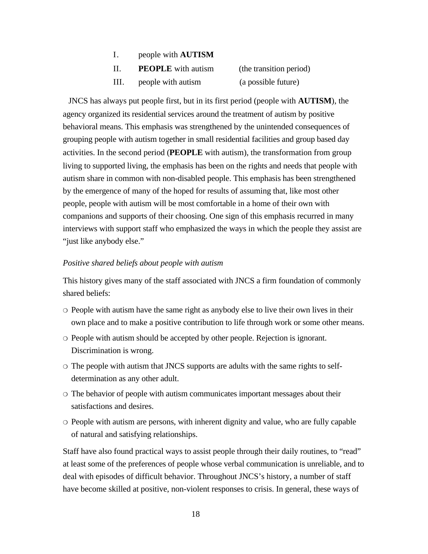- I. people with **AUTISM**
- II. **PEOPLE** with autism (the transition period) III. people with autism (a possible future)

JNCS has always put people first, but in its first period (people with **AUTISM**), the agency organized its residential services around the treatment of autism by positive behavioral means. This emphasis was strengthened by the unintended consequences of grouping people with autism together in small residential facilities and group based day activities. In the second period (**PEOPLE** with autism), the transformation from group living to supported living, the emphasis has been on the rights and needs that people with autism share in common with non-disabled people. This emphasis has been strengthened by the emergence of many of the hoped for results of assuming that, like most other people, people with autism will be most comfortable in a home of their own with companions and supports of their choosing. One sign of this emphasis recurred in many interviews with support staff who emphasized the ways in which the people they assist are "just like anybody else."

#### *Positive shared beliefs about people with autism*

This history gives many of the staff associated with JNCS a firm foundation of commonly shared beliefs:

- ❍ People with autism have the same right as anybody else to live their own lives in their own place and to make a positive contribution to life through work or some other means.
- ❍ People with autism should be accepted by other people. Rejection is ignorant. Discrimination is wrong.
- ❍ The people with autism that JNCS supports are adults with the same rights to selfdetermination as any other adult.
- ❍ The behavior of people with autism communicates important messages about their satisfactions and desires.
- ❍ People with autism are persons, with inherent dignity and value, who are fully capable of natural and satisfying relationships.

Staff have also found practical ways to assist people through their daily routines, to "read" at least some of the preferences of people whose verbal communication is unreliable, and to deal with episodes of difficult behavior. Throughout JNCS's history, a number of staff have become skilled at positive, non-violent responses to crisis. In general, these ways of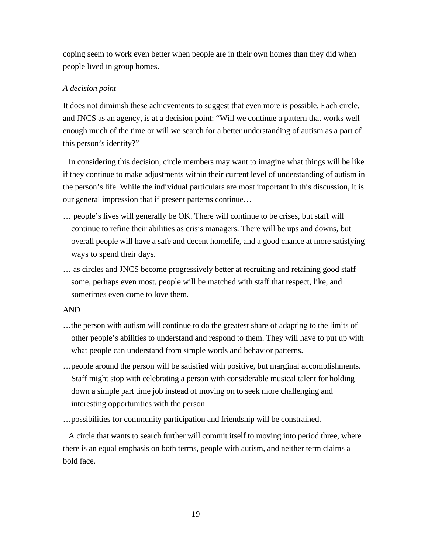coping seem to work even better when people are in their own homes than they did when people lived in group homes.

# *A decision point*

It does not diminish these achievements to suggest that even more is possible. Each circle, and JNCS as an agency, is at a decision point: "Will we continue a pattern that works well enough much of the time or will we search for a better understanding of autism as a part of this person's identity?"

In considering this decision, circle members may want to imagine what things will be like if they continue to make adjustments within their current level of understanding of autism in the person's life. While the individual particulars are most important in this discussion, it is our general impression that if present patterns continue…

- … people's lives will generally be OK. There will continue to be crises, but staff will continue to refine their abilities as crisis managers. There will be ups and downs, but overall people will have a safe and decent homelife, and a good chance at more satisfying ways to spend their days.
- … as circles and JNCS become progressively better at recruiting and retaining good staff some, perhaps even most, people will be matched with staff that respect, like, and sometimes even come to love them.

AND

- …the person with autism will continue to do the greatest share of adapting to the limits of other people's abilities to understand and respond to them. They will have to put up with what people can understand from simple words and behavior patterns.
- …people around the person will be satisfied with positive, but marginal accomplishments. Staff might stop with celebrating a person with considerable musical talent for holding down a simple part time job instead of moving on to seek more challenging and interesting opportunities with the person.
- …possibilities for community participation and friendship will be constrained.

A circle that wants to search further will commit itself to moving into period three, where there is an equal emphasis on both terms, people with autism, and neither term claims a bold face.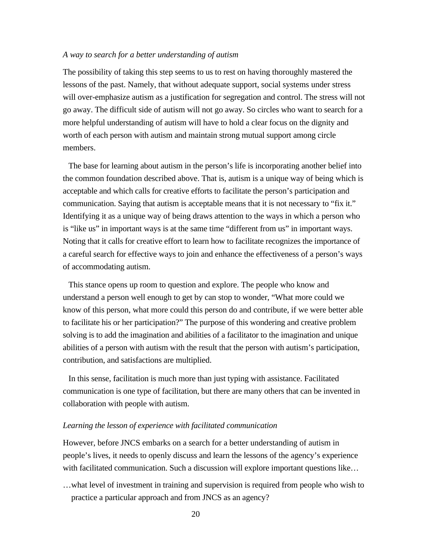#### *A way to search for a better understanding of autism*

The possibility of taking this step seems to us to rest on having thoroughly mastered the lessons of the past. Namely, that without adequate support, social systems under stress will over-emphasize autism as a justification for segregation and control. The stress will not go away. The difficult side of autism will not go away. So circles who want to search for a more helpful understanding of autism will have to hold a clear focus on the dignity and worth of each person with autism and maintain strong mutual support among circle members.

The base for learning about autism in the person's life is incorporating another belief into the common foundation described above. That is, autism is a unique way of being which is acceptable and which calls for creative efforts to facilitate the person's participation and communication. Saying that autism is acceptable means that it is not necessary to "fix it." Identifying it as a unique way of being draws attention to the ways in which a person who is "like us" in important ways is at the same time "different from us" in important ways. Noting that it calls for creative effort to learn how to facilitate recognizes the importance of a careful search for effective ways to join and enhance the effectiveness of a person's ways of accommodating autism.

This stance opens up room to question and explore. The people who know and understand a person well enough to get by can stop to wonder, "What more could we know of this person, what more could this person do and contribute, if we were better able to facilitate his or her participation?" The purpose of this wondering and creative problem solving is to add the imagination and abilities of a facilitator to the imagination and unique abilities of a person with autism with the result that the person with autism's participation, contribution, and satisfactions are multiplied.

In this sense, facilitation is much more than just typing with assistance. Facilitated communication is one type of facilitation, but there are many others that can be invented in collaboration with people with autism.

#### *Learning the lesson of experience with facilitated communication*

However, before JNCS embarks on a search for a better understanding of autism in people's lives, it needs to openly discuss and learn the lessons of the agency's experience with facilitated communication. Such a discussion will explore important questions like...

…what level of investment in training and supervision is required from people who wish to practice a particular approach and from JNCS as an agency?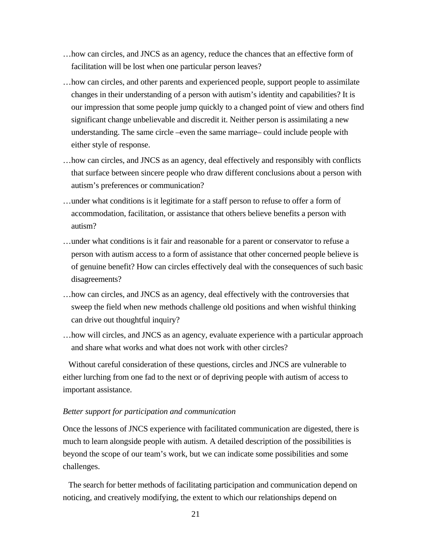- …how can circles, and JNCS as an agency, reduce the chances that an effective form of facilitation will be lost when one particular person leaves?
- …how can circles, and other parents and experienced people, support people to assimilate changes in their understanding of a person with autism's identity and capabilities? It is our impression that some people jump quickly to a changed point of view and others find significant change unbelievable and discredit it. Neither person is assimilating a new understanding. The same circle –even the same marriage– could include people with either style of response.
- …how can circles, and JNCS as an agency, deal effectively and responsibly with conflicts that surface between sincere people who draw different conclusions about a person with autism's preferences or communication?
- …under what conditions is it legitimate for a staff person to refuse to offer a form of accommodation, facilitation, or assistance that others believe benefits a person with autism?
- …under what conditions is it fair and reasonable for a parent or conservator to refuse a person with autism access to a form of assistance that other concerned people believe is of genuine benefit? How can circles effectively deal with the consequences of such basic disagreements?
- …how can circles, and JNCS as an agency, deal effectively with the controversies that sweep the field when new methods challenge old positions and when wishful thinking can drive out thoughtful inquiry?
- …how will circles, and JNCS as an agency, evaluate experience with a particular approach and share what works and what does not work with other circles?

Without careful consideration of these questions, circles and JNCS are vulnerable to either lurching from one fad to the next or of depriving people with autism of access to important assistance.

## *Better support for participation and communication*

Once the lessons of JNCS experience with facilitated communication are digested, there is much to learn alongside people with autism. A detailed description of the possibilities is beyond the scope of our team's work, but we can indicate some possibilities and some challenges.

The search for better methods of facilitating participation and communication depend on noticing, and creatively modifying, the extent to which our relationships depend on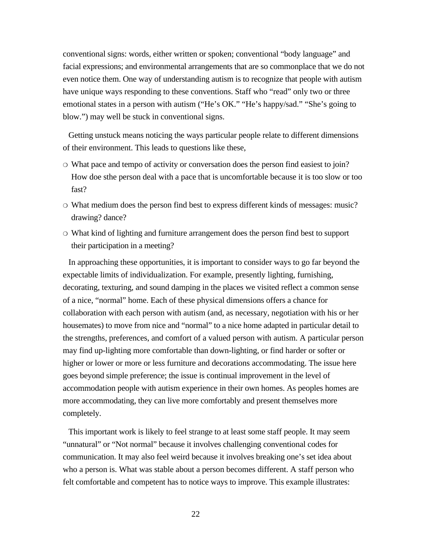conventional signs: words, either written or spoken; conventional "body language" and facial expressions; and environmental arrangements that are so commonplace that we do not even notice them. One way of understanding autism is to recognize that people with autism have unique ways responding to these conventions. Staff who "read" only two or three emotional states in a person with autism ("He's OK." "He's happy/sad." "She's going to blow.") may well be stuck in conventional signs.

Getting unstuck means noticing the ways particular people relate to different dimensions of their environment. This leads to questions like these,

- ❍ What pace and tempo of activity or conversation does the person find easiest to join? How doe sthe person deal with a pace that is uncomfortable because it is too slow or too fast?
- ❍ What medium does the person find best to express different kinds of messages: music? drawing? dance?
- ❍ What kind of lighting and furniture arrangement does the person find best to support their participation in a meeting?

In approaching these opportunities, it is important to consider ways to go far beyond the expectable limits of individualization. For example, presently lighting, furnishing, decorating, texturing, and sound damping in the places we visited reflect a common sense of a nice, "normal" home. Each of these physical dimensions offers a chance for collaboration with each person with autism (and, as necessary, negotiation with his or her housemates) to move from nice and "normal" to a nice home adapted in particular detail to the strengths, preferences, and comfort of a valued person with autism. A particular person may find up-lighting more comfortable than down-lighting, or find harder or softer or higher or lower or more or less furniture and decorations accommodating. The issue here goes beyond simple preference; the issue is continual improvement in the level of accommodation people with autism experience in their own homes. As peoples homes are more accommodating, they can live more comfortably and present themselves more completely.

This important work is likely to feel strange to at least some staff people. It may seem "unnatural" or "Not normal" because it involves challenging conventional codes for communication. It may also feel weird because it involves breaking one's set idea about who a person is. What was stable about a person becomes different. A staff person who felt comfortable and competent has to notice ways to improve. This example illustrates:

22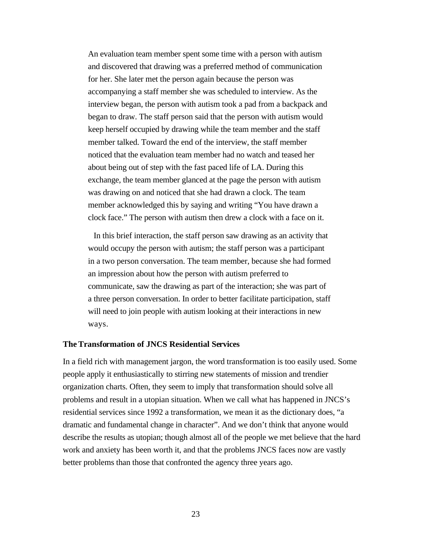An evaluation team member spent some time with a person with autism and discovered that drawing was a preferred method of communication for her. She later met the person again because the person was accompanying a staff member she was scheduled to interview. As the interview began, the person with autism took a pad from a backpack and began to draw. The staff person said that the person with autism would keep herself occupied by drawing while the team member and the staff member talked. Toward the end of the interview, the staff member noticed that the evaluation team member had no watch and teased her about being out of step with the fast paced life of LA. During this exchange, the team member glanced at the page the person with autism was drawing on and noticed that she had drawn a clock. The team member acknowledged this by saying and writing "You have drawn a clock face." The person with autism then drew a clock with a face on it.

In this brief interaction, the staff person saw drawing as an activity that would occupy the person with autism; the staff person was a participant in a two person conversation. The team member, because she had formed an impression about how the person with autism preferred to communicate, saw the drawing as part of the interaction; she was part of a three person conversation. In order to better facilitate participation, staff will need to join people with autism looking at their interactions in new ways.

#### **The Transformation of JNCS Residential Services**

In a field rich with management jargon, the word transformation is too easily used. Some people apply it enthusiastically to stirring new statements of mission and trendier organization charts. Often, they seem to imply that transformation should solve all problems and result in a utopian situation. When we call what has happened in JNCS's residential services since 1992 a transformation, we mean it as the dictionary does, "a dramatic and fundamental change in character". And we don't think that anyone would describe the results as utopian; though almost all of the people we met believe that the hard work and anxiety has been worth it, and that the problems JNCS faces now are vastly better problems than those that confronted the agency three years ago.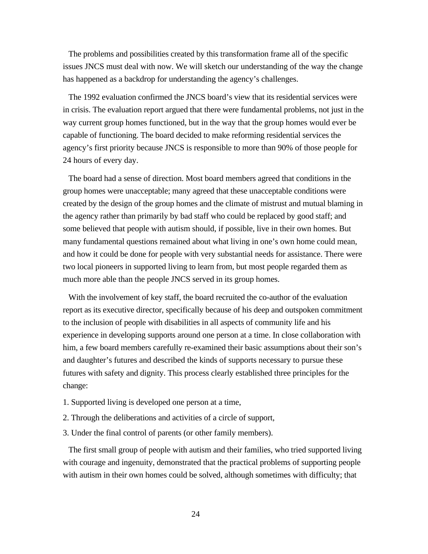The problems and possibilities created by this transformation frame all of the specific issues JNCS must deal with now. We will sketch our understanding of the way the change has happened as a backdrop for understanding the agency's challenges.

The 1992 evaluation confirmed the JNCS board's view that its residential services were in crisis. The evaluation report argued that there were fundamental problems, not just in the way current group homes functioned, but in the way that the group homes would ever be capable of functioning. The board decided to make reforming residential services the agency's first priority because JNCS is responsible to more than 90% of those people for 24 hours of every day.

The board had a sense of direction. Most board members agreed that conditions in the group homes were unacceptable; many agreed that these unacceptable conditions were created by the design of the group homes and the climate of mistrust and mutual blaming in the agency rather than primarily by bad staff who could be replaced by good staff; and some believed that people with autism should, if possible, live in their own homes. But many fundamental questions remained about what living in one's own home could mean, and how it could be done for people with very substantial needs for assistance. There were two local pioneers in supported living to learn from, but most people regarded them as much more able than the people JNCS served in its group homes.

With the involvement of key staff, the board recruited the co-author of the evaluation report as its executive director, specifically because of his deep and outspoken commitment to the inclusion of people with disabilities in all aspects of community life and his experience in developing supports around one person at a time. In close collaboration with him, a few board members carefully re-examined their basic assumptions about their son's and daughter's futures and described the kinds of supports necessary to pursue these futures with safety and dignity. This process clearly established three principles for the change:

- 1. Supported living is developed one person at a time,
- 2. Through the deliberations and activities of a circle of support,
- 3. Under the final control of parents (or other family members).

The first small group of people with autism and their families, who tried supported living with courage and ingenuity, demonstrated that the practical problems of supporting people with autism in their own homes could be solved, although sometimes with difficulty; that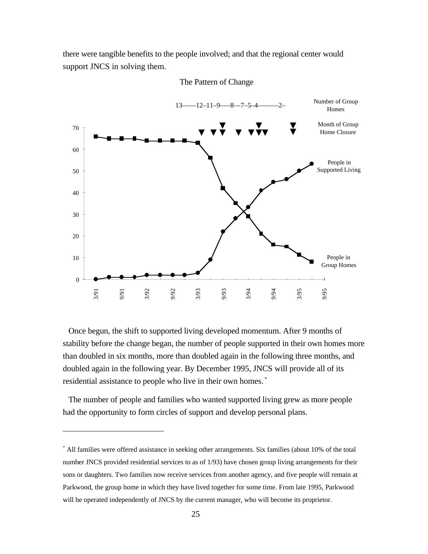there were tangible benefits to the people involved; and that the regional center would support JNCS in solving them.



The Pattern of Change

Once begun, the shift to supported living developed momentum. After 9 months of stability before the change began, the number of people supported in their own homes more than doubled in six months, more than doubled again in the following three months, and doubled again in the following year. By December 1995, JNCS will provide all of its residential assistance to people who live in their own homes. \*

The number of people and families who wanted supported living grew as more people had the opportunity to form circles of support and develop personal plans.

<u>.</u>

<sup>\*</sup> All families were offered assistance in seeking other arrangements. Six families (about 10% of the total number JNCS provided residential services to as of 1/93) have chosen group living arrangements for their sons or daughters. Two families now receive services from another agency, and five people will remain at Parkwood, the group home in which they have lived together for some time. From late 1995, Parkwood will be operated independently of JNCS by the current manager, who will become its proprietor.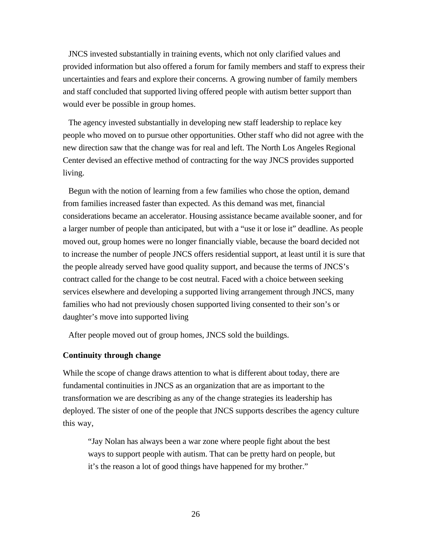JNCS invested substantially in training events, which not only clarified values and provided information but also offered a forum for family members and staff to express their uncertainties and fears and explore their concerns. A growing number of family members and staff concluded that supported living offered people with autism better support than would ever be possible in group homes.

The agency invested substantially in developing new staff leadership to replace key people who moved on to pursue other opportunities. Other staff who did not agree with the new direction saw that the change was for real and left. The North Los Angeles Regional Center devised an effective method of contracting for the way JNCS provides supported living.

Begun with the notion of learning from a few families who chose the option, demand from families increased faster than expected. As this demand was met, financial considerations became an accelerator. Housing assistance became available sooner, and for a larger number of people than anticipated, but with a "use it or lose it" deadline. As people moved out, group homes were no longer financially viable, because the board decided not to increase the number of people JNCS offers residential support, at least until it is sure that the people already served have good quality support, and because the terms of JNCS's contract called for the change to be cost neutral. Faced with a choice between seeking services elsewhere and developing a supported living arrangement through JNCS, many families who had not previously chosen supported living consented to their son's or daughter's move into supported living

After people moved out of group homes, JNCS sold the buildings.

#### **Continuity through change**

While the scope of change draws attention to what is different about today, there are fundamental continuities in JNCS as an organization that are as important to the transformation we are describing as any of the change strategies its leadership has deployed. The sister of one of the people that JNCS supports describes the agency culture this way,

"Jay Nolan has always been a war zone where people fight about the best ways to support people with autism. That can be pretty hard on people, but it's the reason a lot of good things have happened for my brother."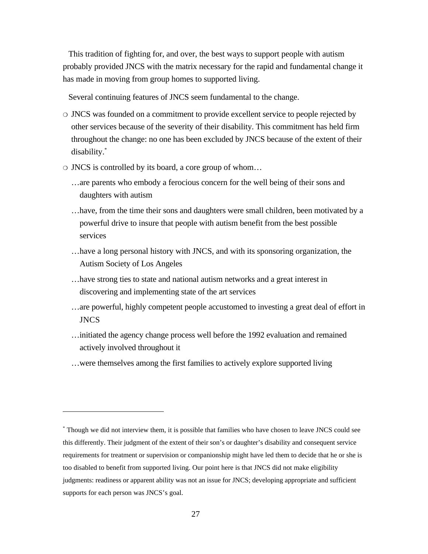This tradition of fighting for, and over, the best ways to support people with autism probably provided JNCS with the matrix necessary for the rapid and fundamental change it has made in moving from group homes to supported living.

Several continuing features of JNCS seem fundamental to the change.

- ❍ JNCS was founded on a commitment to provide excellent service to people rejected by other services because of the severity of their disability. This commitment has held firm throughout the change: no one has been excluded by JNCS because of the extent of their disability.\*
- ❍ JNCS is controlled by its board, a core group of whom…

 $\overline{a}$ 

- …are parents who embody a ferocious concern for the well being of their sons and daughters with autism
- …have, from the time their sons and daughters were small children, been motivated by a powerful drive to insure that people with autism benefit from the best possible services
- …have a long personal history with JNCS, and with its sponsoring organization, the Autism Society of Los Angeles
- …have strong ties to state and national autism networks and a great interest in discovering and implementing state of the art services
- …are powerful, highly competent people accustomed to investing a great deal of effort in JNCS
- …initiated the agency change process well before the 1992 evaluation and remained actively involved throughout it
- …were themselves among the first families to actively explore supported living

<sup>\*</sup> Though we did not interview them, it is possible that families who have chosen to leave JNCS could see this differently. Their judgment of the extent of their son's or daughter's disability and consequent service requirements for treatment or supervision or companionship might have led them to decide that he or she is too disabled to benefit from supported living. Our point here is that JNCS did not make eligibility judgments: readiness or apparent ability was not an issue for JNCS; developing appropriate and sufficient supports for each person was JNCS's goal.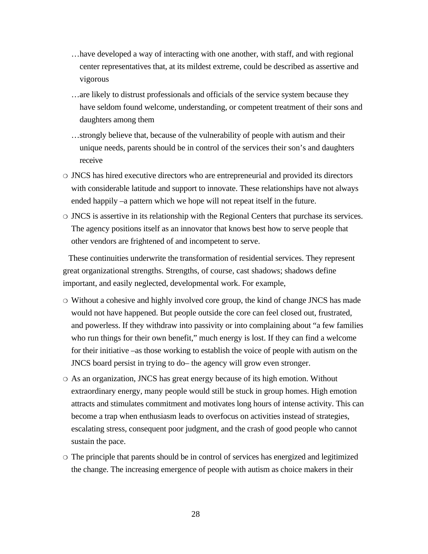- …have developed a way of interacting with one another, with staff, and with regional center representatives that, at its mildest extreme, could be described as assertive and vigorous
- …are likely to distrust professionals and officials of the service system because they have seldom found welcome, understanding, or competent treatment of their sons and daughters among them
- …strongly believe that, because of the vulnerability of people with autism and their unique needs, parents should be in control of the services their son's and daughters receive
- ❍ JNCS has hired executive directors who are entrepreneurial and provided its directors with considerable latitude and support to innovate. These relationships have not always ended happily –a pattern which we hope will not repeat itself in the future.
- ❍ JNCS is assertive in its relationship with the Regional Centers that purchase its services. The agency positions itself as an innovator that knows best how to serve people that other vendors are frightened of and incompetent to serve.

These continuities underwrite the transformation of residential services. They represent great organizational strengths. Strengths, of course, cast shadows; shadows define important, and easily neglected, developmental work. For example,

- ❍ Without a cohesive and highly involved core group, the kind of change JNCS has made would not have happened. But people outside the core can feel closed out, frustrated, and powerless. If they withdraw into passivity or into complaining about "a few families who run things for their own benefit," much energy is lost. If they can find a welcome for their initiative –as those working to establish the voice of people with autism on the JNCS board persist in trying to do– the agency will grow even stronger.
- ❍ As an organization, JNCS has great energy because of its high emotion. Without extraordinary energy, many people would still be stuck in group homes. High emotion attracts and stimulates commitment and motivates long hours of intense activity. This can become a trap when enthusiasm leads to overfocus on activities instead of strategies, escalating stress, consequent poor judgment, and the crash of good people who cannot sustain the pace.
- ❍ The principle that parents should be in control of services has energized and legitimized the change. The increasing emergence of people with autism as choice makers in their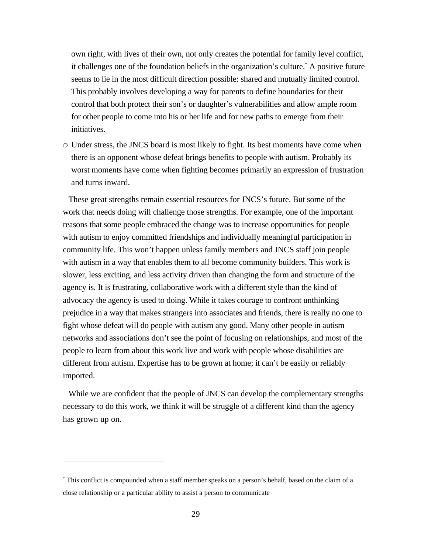own right, with lives of their own, not only creates the potential for family level conflict, it challenges one of the foundation beliefs in the organization's culture.\* A positive future seems to lie in the most difficult direction possible: shared and mutually limited control. This probably involves developing a way for parents to define boundaries for their control that both protect their son's or daughter's vulnerabilities and allow ample room for other people to come into his or her life and for new paths to emerge from their initiatives.

❍ Under stress, the JNCS board is most likely to fight. Its best moments have come when there is an opponent whose defeat brings benefits to people with autism. Probably its worst moments have come when fighting becomes primarily an expression of frustration and turns inward.

These great strengths remain essential resources for JNCS's future. But some of the work that needs doing will challenge those strengths. For example, one of the important reasons that some people embraced the change was to increase opportunities for people with autism to enjoy committed friendships and individually meaningful participation in community life. This won't happen unless family members and JNCS staff join people with autism in a way that enables them to all become community builders. This work is slower, less exciting, and less activity driven than changing the form and structure of the agency is. It is frustrating, collaborative work with a different style than the kind of advocacy the agency is used to doing. While it takes courage to confront unthinking prejudice in a way that makes strangers into associates and friends, there is really no one to fight whose defeat will do people with autism any good. Many other people in autism networks and associations don't see the point of focusing on relationships, and most of the people to learn from about this work live and work with people whose disabilities are different from autism. Expertise has to be grown at home; it can't be easily or reliably imported.

While we are confident that the people of JNCS can develop the complementary strengths necessary to do this work, we think it will be struggle of a different kind than the agency has grown up on.

 $\overline{a}$ 

<sup>\*</sup> This conflict is compounded when a staff member speaks on a person's behalf, based on the claim of a close relationship or a particular ability to assist a person to communicate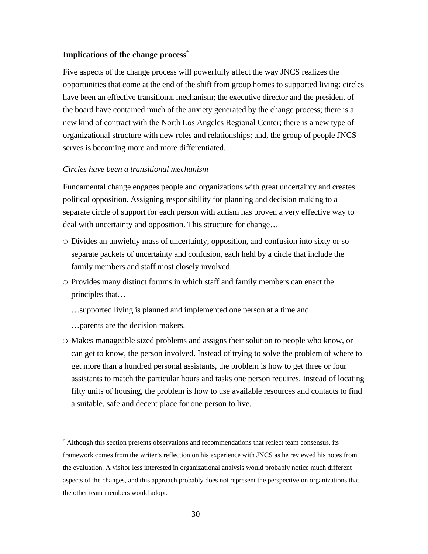#### **Implications of the change process\***

Five aspects of the change process will powerfully affect the way JNCS realizes the opportunities that come at the end of the shift from group homes to supported living: circles have been an effective transitional mechanism; the executive director and the president of the board have contained much of the anxiety generated by the change process; there is a new kind of contract with the North Los Angeles Regional Center; there is a new type of organizational structure with new roles and relationships; and, the group of people JNCS serves is becoming more and more differentiated.

# *Circles have been a transitional mechanism*

Fundamental change engages people and organizations with great uncertainty and creates political opposition. Assigning responsibility for planning and decision making to a separate circle of support for each person with autism has proven a very effective way to deal with uncertainty and opposition. This structure for change…

- ❍ Divides an unwieldy mass of uncertainty, opposition, and confusion into sixty or so separate packets of uncertainty and confusion, each held by a circle that include the family members and staff most closely involved.
- ❍ Provides many distinct forums in which staff and family members can enact the principles that…

…supported living is planned and implemented one person at a time and

…parents are the decision makers.

 $\overline{a}$ 

❍ Makes manageable sized problems and assigns their solution to people who know, or can get to know, the person involved. Instead of trying to solve the problem of where to get more than a hundred personal assistants, the problem is how to get three or four assistants to match the particular hours and tasks one person requires. Instead of locating fifty units of housing, the problem is how to use available resources and contacts to find a suitable, safe and decent place for one person to live.

<sup>\*</sup> Although this section presents observations and recommendations that reflect team consensus, its framework comes from the writer's reflection on his experience with JNCS as he reviewed his notes from the evaluation. A visitor less interested in organizational analysis would probably notice much different aspects of the changes, and this approach probably does not represent the perspective on organizations that the other team members would adopt.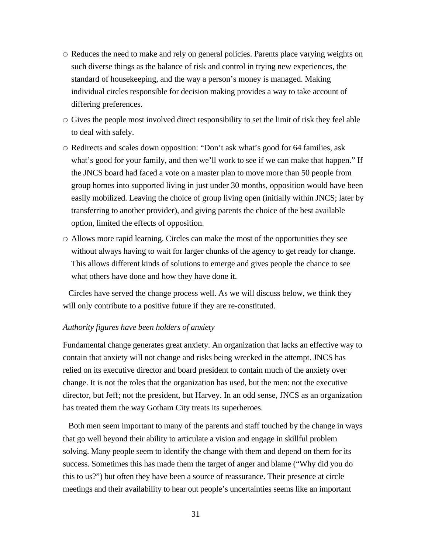- ❍ Reduces the need to make and rely on general policies. Parents place varying weights on such diverse things as the balance of risk and control in trying new experiences, the standard of housekeeping, and the way a person's money is managed. Making individual circles responsible for decision making provides a way to take account of differing preferences.
- ❍ Gives the people most involved direct responsibility to set the limit of risk they feel able to deal with safely.
- ❍ Redirects and scales down opposition: "Don't ask what's good for 64 families, ask what's good for your family, and then we'll work to see if we can make that happen." If the JNCS board had faced a vote on a master plan to move more than 50 people from group homes into supported living in just under 30 months, opposition would have been easily mobilized. Leaving the choice of group living open (initially within JNCS; later by transferring to another provider), and giving parents the choice of the best available option, limited the effects of opposition.
- ❍ Allows more rapid learning. Circles can make the most of the opportunities they see without always having to wait for larger chunks of the agency to get ready for change. This allows different kinds of solutions to emerge and gives people the chance to see what others have done and how they have done it.

Circles have served the change process well. As we will discuss below, we think they will only contribute to a positive future if they are re-constituted.

## *Authority figures have been holders of anxiety*

Fundamental change generates great anxiety. An organization that lacks an effective way to contain that anxiety will not change and risks being wrecked in the attempt. JNCS has relied on its executive director and board president to contain much of the anxiety over change. It is not the roles that the organization has used, but the men: not the executive director, but Jeff; not the president, but Harvey. In an odd sense, JNCS as an organization has treated them the way Gotham City treats its superheroes.

Both men seem important to many of the parents and staff touched by the change in ways that go well beyond their ability to articulate a vision and engage in skillful problem solving. Many people seem to identify the change with them and depend on them for its success. Sometimes this has made them the target of anger and blame ("Why did you do this to us?") but often they have been a source of reassurance. Their presence at circle meetings and their availability to hear out people's uncertainties seems like an important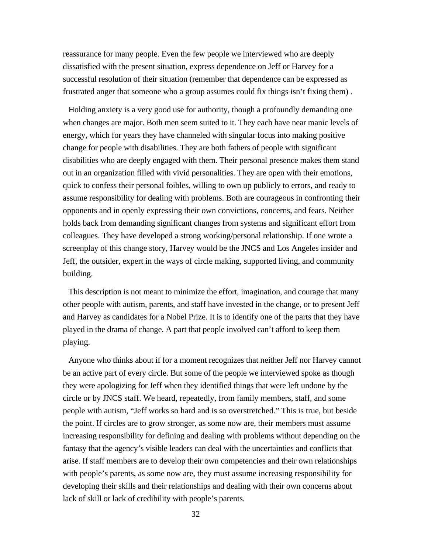reassurance for many people. Even the few people we interviewed who are deeply dissatisfied with the present situation, express dependence on Jeff or Harvey for a successful resolution of their situation (remember that dependence can be expressed as frustrated anger that someone who a group assumes could fix things isn't fixing them) .

Holding anxiety is a very good use for authority, though a profoundly demanding one when changes are major. Both men seem suited to it. They each have near manic levels of energy, which for years they have channeled with singular focus into making positive change for people with disabilities. They are both fathers of people with significant disabilities who are deeply engaged with them. Their personal presence makes them stand out in an organization filled with vivid personalities. They are open with their emotions, quick to confess their personal foibles, willing to own up publicly to errors, and ready to assume responsibility for dealing with problems. Both are courageous in confronting their opponents and in openly expressing their own convictions, concerns, and fears. Neither holds back from demanding significant changes from systems and significant effort from colleagues. They have developed a strong working/personal relationship. If one wrote a screenplay of this change story, Harvey would be the JNCS and Los Angeles insider and Jeff, the outsider, expert in the ways of circle making, supported living, and community building.

This description is not meant to minimize the effort, imagination, and courage that many other people with autism, parents, and staff have invested in the change, or to present Jeff and Harvey as candidates for a Nobel Prize. It is to identify one of the parts that they have played in the drama of change. A part that people involved can't afford to keep them playing.

Anyone who thinks about if for a moment recognizes that neither Jeff nor Harvey cannot be an active part of every circle. But some of the people we interviewed spoke as though they were apologizing for Jeff when they identified things that were left undone by the circle or by JNCS staff. We heard, repeatedly, from family members, staff, and some people with autism, "Jeff works so hard and is so overstretched." This is true, but beside the point. If circles are to grow stronger, as some now are, their members must assume increasing responsibility for defining and dealing with problems without depending on the fantasy that the agency's visible leaders can deal with the uncertainties and conflicts that arise. If staff members are to develop their own competencies and their own relationships with people's parents, as some now are, they must assume increasing responsibility for developing their skills and their relationships and dealing with their own concerns about lack of skill or lack of credibility with people's parents.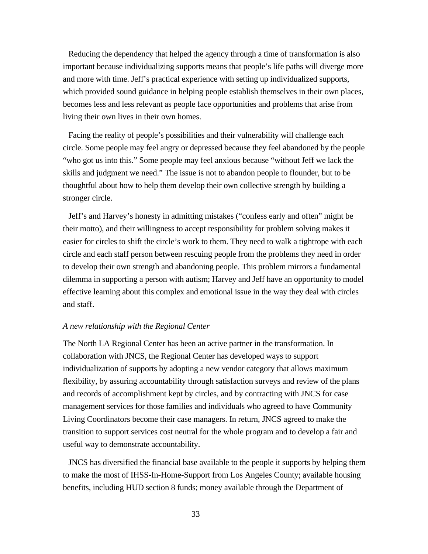Reducing the dependency that helped the agency through a time of transformation is also important because individualizing supports means that people's life paths will diverge more and more with time. Jeff's practical experience with setting up individualized supports, which provided sound guidance in helping people establish themselves in their own places, becomes less and less relevant as people face opportunities and problems that arise from living their own lives in their own homes.

Facing the reality of people's possibilities and their vulnerability will challenge each circle. Some people may feel angry or depressed because they feel abandoned by the people "who got us into this." Some people may feel anxious because "without Jeff we lack the skills and judgment we need." The issue is not to abandon people to flounder, but to be thoughtful about how to help them develop their own collective strength by building a stronger circle.

Jeff's and Harvey's honesty in admitting mistakes ("confess early and often" might be their motto), and their willingness to accept responsibility for problem solving makes it easier for circles to shift the circle's work to them. They need to walk a tightrope with each circle and each staff person between rescuing people from the problems they need in order to develop their own strength and abandoning people. This problem mirrors a fundamental dilemma in supporting a person with autism; Harvey and Jeff have an opportunity to model effective learning about this complex and emotional issue in the way they deal with circles and staff.

#### *A new relationship with the Regional Center*

The North LA Regional Center has been an active partner in the transformation. In collaboration with JNCS, the Regional Center has developed ways to support individualization of supports by adopting a new vendor category that allows maximum flexibility, by assuring accountability through satisfaction surveys and review of the plans and records of accomplishment kept by circles, and by contracting with JNCS for case management services for those families and individuals who agreed to have Community Living Coordinators become their case managers. In return, JNCS agreed to make the transition to support services cost neutral for the whole program and to develop a fair and useful way to demonstrate accountability.

JNCS has diversified the financial base available to the people it supports by helping them to make the most of IHSS-In-Home-Support from Los Angeles County; available housing benefits, including HUD section 8 funds; money available through the Department of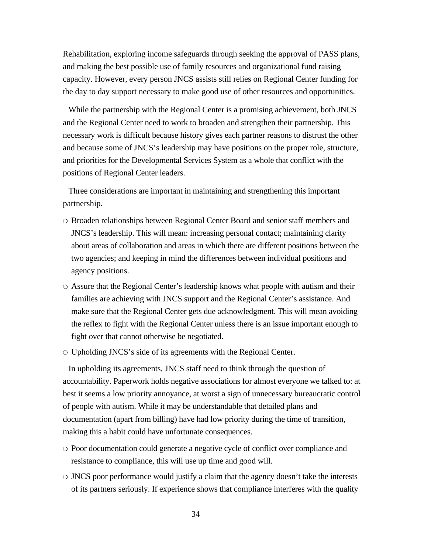Rehabilitation, exploring income safeguards through seeking the approval of PASS plans, and making the best possible use of family resources and organizational fund raising capacity. However, every person JNCS assists still relies on Regional Center funding for the day to day support necessary to make good use of other resources and opportunities.

While the partnership with the Regional Center is a promising achievement, both JNCS and the Regional Center need to work to broaden and strengthen their partnership. This necessary work is difficult because history gives each partner reasons to distrust the other and because some of JNCS's leadership may have positions on the proper role, structure, and priorities for the Developmental Services System as a whole that conflict with the positions of Regional Center leaders.

Three considerations are important in maintaining and strengthening this important partnership.

- ❍ Broaden relationships between Regional Center Board and senior staff members and JNCS's leadership. This will mean: increasing personal contact; maintaining clarity about areas of collaboration and areas in which there are different positions between the two agencies; and keeping in mind the differences between individual positions and agency positions.
- ❍ Assure that the Regional Center's leadership knows what people with autism and their families are achieving with JNCS support and the Regional Center's assistance. And make sure that the Regional Center gets due acknowledgment. This will mean avoiding the reflex to fight with the Regional Center unless there is an issue important enough to fight over that cannot otherwise be negotiated.
- ❍ Upholding JNCS's side of its agreements with the Regional Center.

In upholding its agreements, JNCS staff need to think through the question of accountability. Paperwork holds negative associations for almost everyone we talked to: at best it seems a low priority annoyance, at worst a sign of unnecessary bureaucratic control of people with autism. While it may be understandable that detailed plans and documentation (apart from billing) have had low priority during the time of transition, making this a habit could have unfortunate consequences.

- ❍ Poor documentation could generate a negative cycle of conflict over compliance and resistance to compliance, this will use up time and good will.
- ❍ JNCS poor performance would justify a claim that the agency doesn't take the interests of its partners seriously. If experience shows that compliance interferes with the quality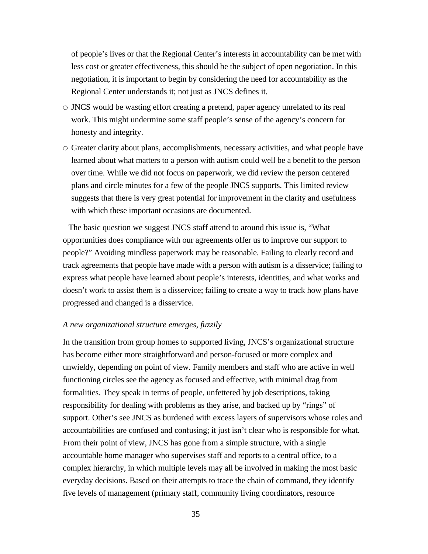of people's lives or that the Regional Center's interests in accountability can be met with less cost or greater effectiveness, this should be the subject of open negotiation. In this negotiation, it is important to begin by considering the need for accountability as the Regional Center understands it; not just as JNCS defines it.

- ❍ JNCS would be wasting effort creating a pretend, paper agency unrelated to its real work. This might undermine some staff people's sense of the agency's concern for honesty and integrity.
- ❍ Greater clarity about plans, accomplishments, necessary activities, and what people have learned about what matters to a person with autism could well be a benefit to the person over time. While we did not focus on paperwork, we did review the person centered plans and circle minutes for a few of the people JNCS supports. This limited review suggests that there is very great potential for improvement in the clarity and usefulness with which these important occasions are documented.

The basic question we suggest JNCS staff attend to around this issue is, "What opportunities does compliance with our agreements offer us to improve our support to people?" Avoiding mindless paperwork may be reasonable. Failing to clearly record and track agreements that people have made with a person with autism is a disservice; failing to express what people have learned about people's interests, identities, and what works and doesn't work to assist them is a disservice; failing to create a way to track how plans have progressed and changed is a disservice.

#### *A new organizational structure emerges, fuzzily*

In the transition from group homes to supported living, JNCS's organizational structure has become either more straightforward and person-focused or more complex and unwieldy, depending on point of view. Family members and staff who are active in well functioning circles see the agency as focused and effective, with minimal drag from formalities. They speak in terms of people, unfettered by job descriptions, taking responsibility for dealing with problems as they arise, and backed up by "rings" of support. Other's see JNCS as burdened with excess layers of supervisors whose roles and accountabilities are confused and confusing; it just isn't clear who is responsible for what. From their point of view, JNCS has gone from a simple structure, with a single accountable home manager who supervises staff and reports to a central office, to a complex hierarchy, in which multiple levels may all be involved in making the most basic everyday decisions. Based on their attempts to trace the chain of command, they identify five levels of management (primary staff, community living coordinators, resource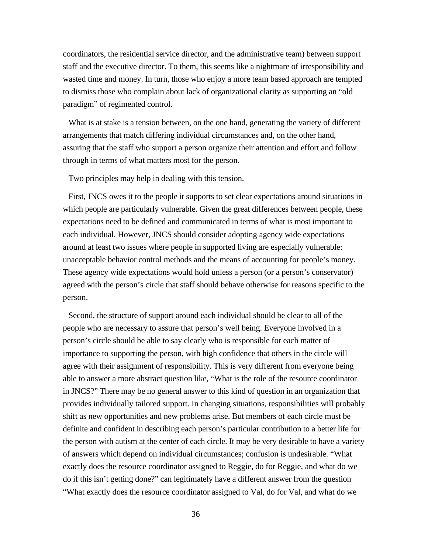coordinators, the residential service director, and the administrative team) between support staff and the executive director. To them, this seems like a nightmare of irresponsibility and wasted time and money. In turn, those who enjoy a more team based approach are tempted to dismiss those who complain about lack of organizational clarity as supporting an "old paradigm" of regimented control.

What is at stake is a tension between, on the one hand, generating the variety of different arrangements that match differing individual circumstances and, on the other hand, assuring that the staff who support a person organize their attention and effort and follow through in terms of what matters most for the person.

Two principles may help in dealing with this tension.

First, JNCS owes it to the people it supports to set clear expectations around situations in which people are particularly vulnerable. Given the great differences between people, these expectations need to be defined and communicated in terms of what is most important to each individual. However, JNCS should consider adopting agency wide expectations around at least two issues where people in supported living are especially vulnerable: unacceptable behavior control methods and the means of accounting for people's money. These agency wide expectations would hold unless a person (or a person's conservator) agreed with the person's circle that staff should behave otherwise for reasons specific to the person.

Second, the structure of support around each individual should be clear to all of the people who are necessary to assure that person's well being. Everyone involved in a person's circle should be able to say clearly who is responsible for each matter of importance to supporting the person, with high confidence that others in the circle will agree with their assignment of responsibility. This is very different from everyone being able to answer a more abstract question like, "What is the role of the resource coordinator in JNCS?" There may be no general answer to this kind of question in an organization that provides individually tailored support. In changing situations, responsibilities will probably shift as new opportunities and new problems arise. But members of each circle must be definite and confident in describing each person's particular contribution to a better life for the person with autism at the center of each circle. It may be very desirable to have a variety of answers which depend on individual circumstances; confusion is undesirable. "What exactly does the resource coordinator assigned to Reggie, do for Reggie, and what do we do if this isn't getting done?" can legitimately have a different answer from the question "What exactly does the resource coordinator assigned to Val, do for Val, and what do we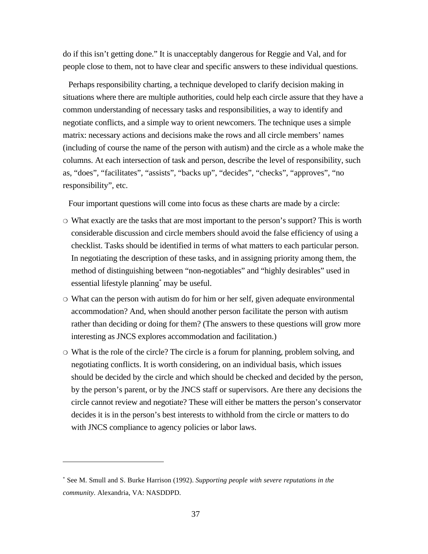do if this isn't getting done." It is unacceptably dangerous for Reggie and Val, and for people close to them, not to have clear and specific answers to these individual questions.

Perhaps responsibility charting, a technique developed to clarify decision making in situations where there are multiple authorities, could help each circle assure that they have a common understanding of necessary tasks and responsibilities, a way to identify and negotiate conflicts, and a simple way to orient newcomers. The technique uses a simple matrix: necessary actions and decisions make the rows and all circle members' names (including of course the name of the person with autism) and the circle as a whole make the columns. At each intersection of task and person, describe the level of responsibility, such as, "does", "facilitates", "assists", "backs up", "decides", "checks", "approves", "no responsibility", etc.

Four important questions will come into focus as these charts are made by a circle:

- ❍ What exactly are the tasks that are most important to the person's support? This is worth considerable discussion and circle members should avoid the false efficiency of using a checklist. Tasks should be identified in terms of what matters to each particular person. In negotiating the description of these tasks, and in assigning priority among them, the method of distinguishing between "non-negotiables" and "highly desirables" used in essential lifestyle planning\* may be useful.
- ❍ What can the person with autism do for him or her self, given adequate environmental accommodation? And, when should another person facilitate the person with autism rather than deciding or doing for them? (The answers to these questions will grow more interesting as JNCS explores accommodation and facilitation.)
- ❍ What is the role of the circle? The circle is a forum for planning, problem solving, and negotiating conflicts. It is worth considering, on an individual basis, which issues should be decided by the circle and which should be checked and decided by the person, by the person's parent, or by the JNCS staff or supervisors. Are there any decisions the circle cannot review and negotiate? These will either be matters the person's conservator decides it is in the person's best interests to withhold from the circle or matters to do with JNCS compliance to agency policies or labor laws.

 $\overline{a}$ 

<sup>\*</sup> See M. Smull and S. Burke Harrison (1992). *Supporting people with severe reputations in the community*. Alexandria, VA: NASDDPD.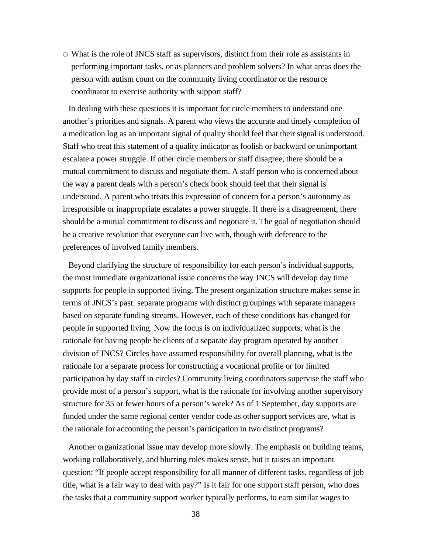❍ What is the role of JNCS staff as supervisors, distinct from their role as assistants in performing important tasks, or as planners and problem solvers? In what areas does the person with autism count on the community living coordinator or the resource coordinator to exercise authority with support staff?

In dealing with these questions it is important for circle members to understand one another's priorities and signals. A parent who views the accurate and timely completion of a medication log as an important signal of quality should feel that their signal is understood. Staff who treat this statement of a quality indicator as foolish or backward or unimportant escalate a power struggle. If other circle members or staff disagree, there should be a mutual commitment to discuss and negotiate them. A staff person who is concerned about the way a parent deals with a person's check book should feel that their signal is understood. A parent who treats this expression of concern for a person's autonomy as irresponsible or inappropriate escalates a power struggle. If there is a disagreement, there should be a mutual commitment to discuss and negotiate it. The goal of negotiation should be a creative resolution that everyone can live with, though with deference to the preferences of involved family members.

Beyond clarifying the structure of responsibility for each person's individual supports, the most immediate organizational issue concerns the way JNCS will develop day time supports for people in supported living. The present organization structure makes sense in terms of JNCS's past: separate programs with distinct groupings with separate managers based on separate funding streams. However, each of these conditions has changed for people in supported living. Now the focus is on individualized supports, what is the rationale for having people be clients of a separate day program operated by another division of JNCS? Circles have assumed responsibility for overall planning, what is the rationale for a separate process for constructing a vocational profile or for limited participation by day staff in circles? Community living coordinators supervise the staff who provide most of a person's support, what is the rationale for involving another supervisory structure for 35 or fewer hours of a person's week? As of 1 September, day supports are funded under the same regional center vendor code as other support services are, what is the rationale for accounting the person's participation in two distinct programs?

Another organizational issue may develop more slowly. The emphasis on building teams, working collaboratively, and blurring roles makes sense, but it raises an important question: "If people accept responsibility for all manner of different tasks, regardless of job title, what is a fair way to deal with pay?" Is it fair for one support staff person, who does the tasks that a community support worker typically performs, to earn similar wages to

38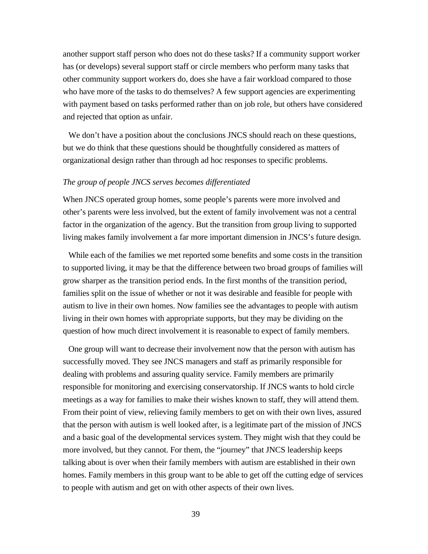another support staff person who does not do these tasks? If a community support worker has (or develops) several support staff or circle members who perform many tasks that other community support workers do, does she have a fair workload compared to those who have more of the tasks to do themselves? A few support agencies are experimenting with payment based on tasks performed rather than on job role, but others have considered and rejected that option as unfair.

We don't have a position about the conclusions JNCS should reach on these questions, but we do think that these questions should be thoughtfully considered as matters of organizational design rather than through ad hoc responses to specific problems.

#### *The group of people JNCS serves becomes differentiated*

When JNCS operated group homes, some people's parents were more involved and other's parents were less involved, but the extent of family involvement was not a central factor in the organization of the agency. But the transition from group living to supported living makes family involvement a far more important dimension in JNCS's future design.

While each of the families we met reported some benefits and some costs in the transition to supported living, it may be that the difference between two broad groups of families will grow sharper as the transition period ends. In the first months of the transition period, families split on the issue of whether or not it was desirable and feasible for people with autism to live in their own homes. Now families see the advantages to people with autism living in their own homes with appropriate supports, but they may be dividing on the question of how much direct involvement it is reasonable to expect of family members.

One group will want to decrease their involvement now that the person with autism has successfully moved. They see JNCS managers and staff as primarily responsible for dealing with problems and assuring quality service. Family members are primarily responsible for monitoring and exercising conservatorship. If JNCS wants to hold circle meetings as a way for families to make their wishes known to staff, they will attend them. From their point of view, relieving family members to get on with their own lives, assured that the person with autism is well looked after, is a legitimate part of the mission of JNCS and a basic goal of the developmental services system. They might wish that they could be more involved, but they cannot. For them, the "journey" that JNCS leadership keeps talking about is over when their family members with autism are established in their own homes. Family members in this group want to be able to get off the cutting edge of services to people with autism and get on with other aspects of their own lives.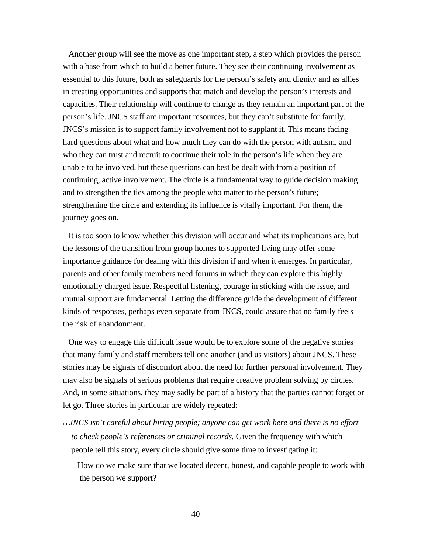Another group will see the move as one important step, a step which provides the person with a base from which to build a better future. They see their continuing involvement as essential to this future, both as safeguards for the person's safety and dignity and as allies in creating opportunities and supports that match and develop the person's interests and capacities. Their relationship will continue to change as they remain an important part of the person's life. JNCS staff are important resources, but they can't substitute for family. JNCS's mission is to support family involvement not to supplant it. This means facing hard questions about what and how much they can do with the person with autism, and who they can trust and recruit to continue their role in the person's life when they are unable to be involved, but these questions can best be dealt with from a position of continuing, active involvement. The circle is a fundamental way to guide decision making and to strengthen the ties among the people who matter to the person's future; strengthening the circle and extending its influence is vitally important. For them, the journey goes on.

It is too soon to know whether this division will occur and what its implications are, but the lessons of the transition from group homes to supported living may offer some importance guidance for dealing with this division if and when it emerges. In particular, parents and other family members need forums in which they can explore this highly emotionally charged issue. Respectful listening, courage in sticking with the issue, and mutual support are fundamental. Letting the difference guide the development of different kinds of responses, perhaps even separate from JNCS, could assure that no family feels the risk of abandonment.

One way to engage this difficult issue would be to explore some of the negative stories that many family and staff members tell one another (and us visitors) about JNCS. These stories may be signals of discomfort about the need for further personal involvement. They may also be signals of serious problems that require creative problem solving by circles. And, in some situations, they may sadly be part of a history that the parties cannot forget or let go. Three stories in particular are widely repeated:

- <sup>m</sup> *JNCS isn't careful about hiring people; anyone can get work here and there is no effort to check people's references or criminal records.* Given the frequency with which people tell this story, every circle should give some time to investigating it:
	- How do we make sure that we located decent, honest, and capable people to work with the person we support?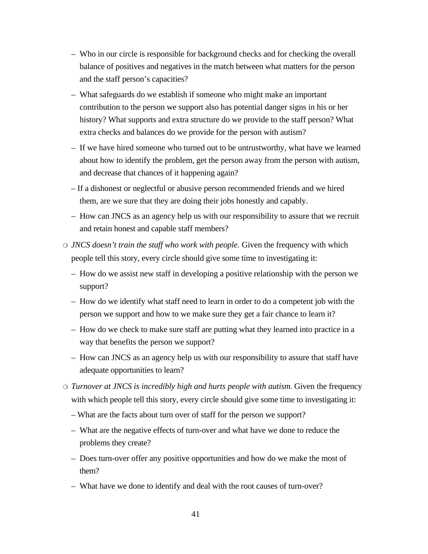- Who in our circle is responsible for background checks and for checking the overall balance of positives and negatives in the match between what matters for the person and the staff person's capacities?
- What safeguards do we establish if someone who might make an important contribution to the person we support also has potential danger signs in his or her history? What supports and extra structure do we provide to the staff person? What extra checks and balances do we provide for the person with autism?
- If we have hired someone who turned out to be untrustworthy, what have we learned about how to identify the problem, get the person away from the person with autism, and decrease that chances of it happening again?
- If a dishonest or neglectful or abusive person recommended friends and we hired them, are we sure that they are doing their jobs honestly and capably.
- How can JNCS as an agency help us with our responsibility to assure that we recruit and retain honest and capable staff members?
- ❍ *JNCS doesn't train the staff who work with people.* Given the frequency with which people tell this story, every circle should give some time to investigating it:
	- How do we assist new staff in developing a positive relationship with the person we support?
	- How do we identify what staff need to learn in order to do a competent job with the person we support and how to we make sure they get a fair chance to learn it?
	- How do we check to make sure staff are putting what they learned into practice in a way that benefits the person we support?
	- How can JNCS as an agency help us with our responsibility to assure that staff have adequate opportunities to learn?
- ❍ *Turnover at JNCS is incredibly high and hurts people with autism*. Given the frequency with which people tell this story, every circle should give some time to investigating it:
	- What are the facts about turn over of staff for the person we support?
	- What are the negative effects of turn-over and what have we done to reduce the problems they create?
	- Does turn-over offer any positive opportunities and how do we make the most of them?
	- What have we done to identify and deal with the root causes of turn-over?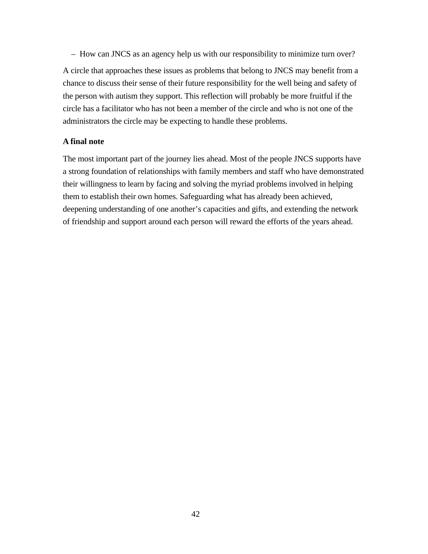– How can JNCS as an agency help us with our responsibility to minimize turn over? A circle that approaches these issues as problems that belong to JNCS may benefit from a chance to discuss their sense of their future responsibility for the well being and safety of the person with autism they support. This reflection will probably be more fruitful if the circle has a facilitator who has not been a member of the circle and who is not one of the administrators the circle may be expecting to handle these problems.

# **A final note**

The most important part of the journey lies ahead. Most of the people JNCS supports have a strong foundation of relationships with family members and staff who have demonstrated their willingness to learn by facing and solving the myriad problems involved in helping them to establish their own homes. Safeguarding what has already been achieved, deepening understanding of one another's capacities and gifts, and extending the network of friendship and support around each person will reward the efforts of the years ahead.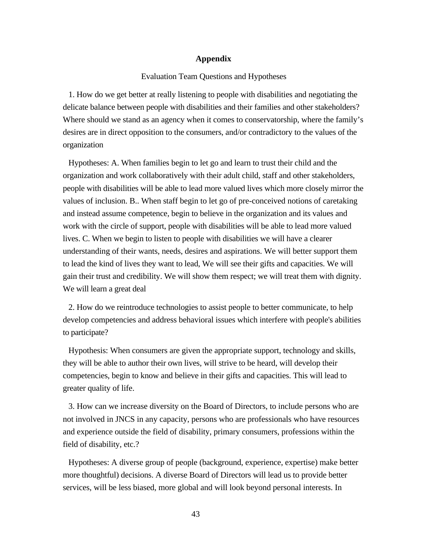#### **Appendix**

#### Evaluation Team Questions and Hypotheses

1. How do we get better at really listening to people with disabilities and negotiating the delicate balance between people with disabilities and their families and other stakeholders? Where should we stand as an agency when it comes to conservatorship, where the family's desires are in direct opposition to the consumers, and/or contradictory to the values of the organization

Hypotheses: A. When families begin to let go and learn to trust their child and the organization and work collaboratively with their adult child, staff and other stakeholders, people with disabilities will be able to lead more valued lives which more closely mirror the values of inclusion. B.. When staff begin to let go of pre-conceived notions of caretaking and instead assume competence, begin to believe in the organization and its values and work with the circle of support, people with disabilities will be able to lead more valued lives. C. When we begin to listen to people with disabilities we will have a clearer understanding of their wants, needs, desires and aspirations. We will better support them to lead the kind of lives they want to lead, We will see their gifts and capacities. We will gain their trust and credibility. We will show them respect; we will treat them with dignity. We will learn a great deal

2. How do we reintroduce technologies to assist people to better communicate, to help develop competencies and address behavioral issues which interfere with people's abilities to participate?

Hypothesis: When consumers are given the appropriate support, technology and skills, they will be able to author their own lives, will strive to be heard, will develop their competencies, begin to know and believe in their gifts and capacities. This will lead to greater quality of life.

3. How can we increase diversity on the Board of Directors, to include persons who are not involved in JNCS in any capacity, persons who are professionals who have resources and experience outside the field of disability, primary consumers, professions within the field of disability, etc.?

Hypotheses: A diverse group of people (background, experience, expertise) make better more thoughtful) decisions. A diverse Board of Directors will lead us to provide better services, will be less biased, more global and will look beyond personal interests. In

43